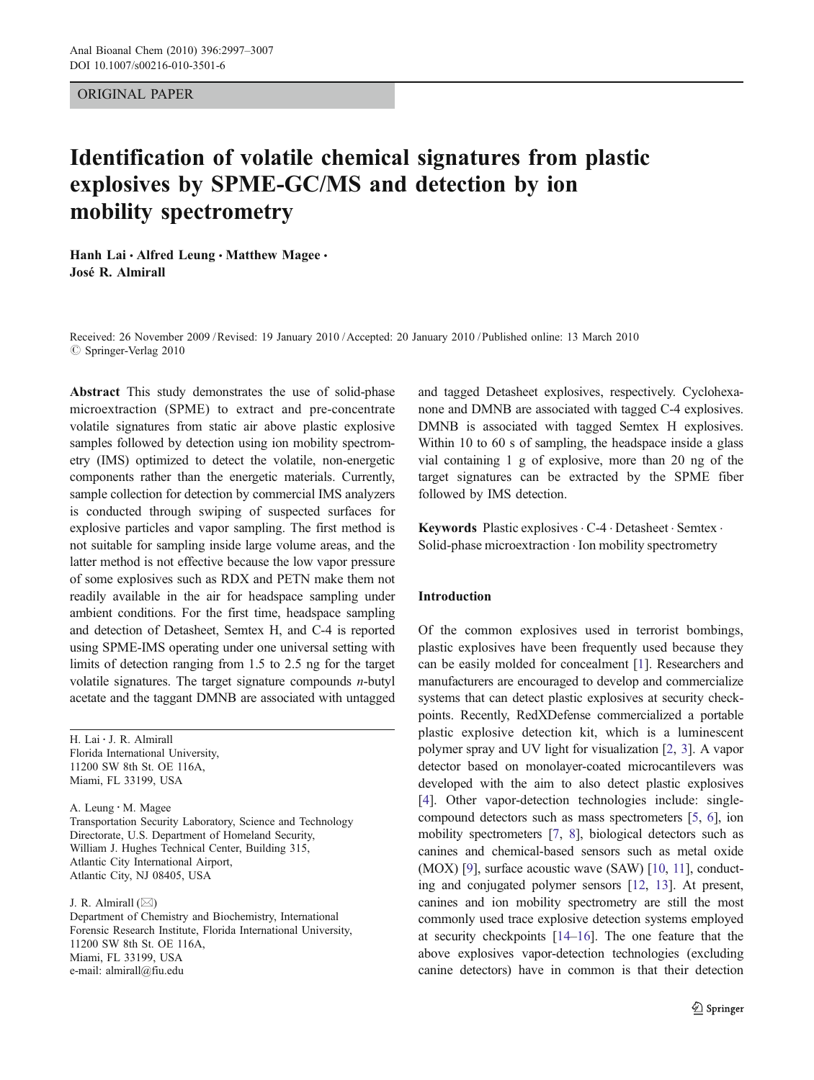## ORIGINAL PAPER

# Identification of volatile chemical signatures from plastic explosives by SPME-GC/MS and detection by ion mobility spectrometry

Hanh Lai · Alfred Leung · Matthew Magee · José R. Almirall

Received: 26 November 2009 /Revised: 19 January 2010 /Accepted: 20 January 2010 / Published online: 13 March 2010  $\circ$  Springer-Verlag 2010

Abstract This study demonstrates the use of solid-phase microextraction (SPME) to extract and pre-concentrate volatile signatures from static air above plastic explosive samples followed by detection using ion mobility spectrometry (IMS) optimized to detect the volatile, non-energetic components rather than the energetic materials. Currently, sample collection for detection by commercial IMS analyzers is conducted through swiping of suspected surfaces for explosive particles and vapor sampling. The first method is not suitable for sampling inside large volume areas, and the latter method is not effective because the low vapor pressure of some explosives such as RDX and PETN make them not readily available in the air for headspace sampling under ambient conditions. For the first time, headspace sampling and detection of Detasheet, Semtex H, and C-4 is reported using SPME-IMS operating under one universal setting with limits of detection ranging from 1.5 to 2.5 ng for the target volatile signatures. The target signature compounds  $n$ -butyl acetate and the taggant DMNB are associated with untagged

H. Lai : J. R. Almirall Florida International University, 11200 SW 8th St. OE 116A, Miami, FL 33199, USA

A. Leung : M. Magee

Transportation Security Laboratory, Science and Technology Directorate, U.S. Department of Homeland Security, William J. Hughes Technical Center, Building 315, Atlantic City International Airport, Atlantic City, NJ 08405, USA

J. R. Almirall  $(\boxtimes)$ 

Department of Chemistry and Biochemistry, International Forensic Research Institute, Florida International University, 11200 SW 8th St. OE 116A, Miami, FL 33199, USA e-mail: almirall@fiu.edu

and tagged Detasheet explosives, respectively. Cyclohexanone and DMNB are associated with tagged C-4 explosives. DMNB is associated with tagged Semtex H explosives. Within 10 to 60 s of sampling, the headspace inside a glass vial containing 1 g of explosive, more than 20 ng of the target signatures can be extracted by the SPME fiber followed by IMS detection.

Keywords Plastic explosives . C-4 . Detasheet . Semtex . Solid-phase microextraction . Ion mobility spectrometry

## Introduction

Of the common explosives used in terrorist bombings, plastic explosives have been frequently used because they can be easily molded for concealment [[1\]](#page-10-0). Researchers and manufacturers are encouraged to develop and commercialize systems that can detect plastic explosives at security checkpoints. Recently, RedXDefense commercialized a portable plastic explosive detection kit, which is a luminescent polymer spray and UV light for visualization [[2,](#page-10-0) [3](#page-10-0)]. A vapor detector based on monolayer-coated microcantilevers was developed with the aim to also detect plastic explosives [\[4](#page-10-0)]. Other vapor-detection technologies include: singlecompound detectors such as mass spectrometers [\[5](#page-10-0), [6](#page-10-0)], ion mobility spectrometers [[7](#page-10-0), [8](#page-10-0)], biological detectors such as canines and chemical-based sensors such as metal oxide (MOX) [\[9](#page-10-0)], surface acoustic wave (SAW) [\[10,](#page-10-0) [11\]](#page-10-0), conducting and conjugated polymer sensors [[12](#page-10-0), [13](#page-10-0)]. At present, canines and ion mobility spectrometry are still the most commonly used trace explosive detection systems employed at security checkpoints [[14](#page-10-0)–[16](#page-10-0)]. The one feature that the above explosives vapor-detection technologies (excluding canine detectors) have in common is that their detection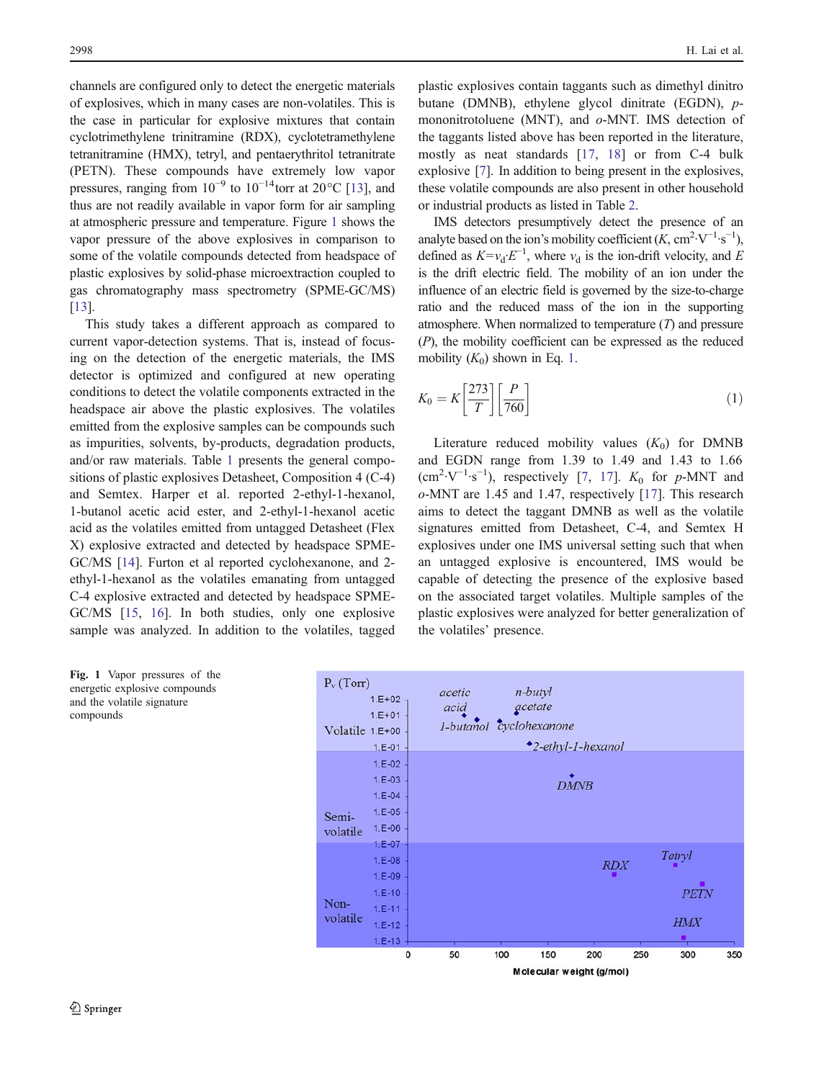channels are configured only to detect the energetic materials of explosives, which in many cases are non-volatiles. This is the case in particular for explosive mixtures that contain cyclotrimethylene trinitramine (RDX), cyclotetramethylene tetranitramine (HMX), tetryl, and pentaerythritol tetranitrate (PETN). These compounds have extremely low vapor pressures, ranging from  $10^{-9}$  to  $10^{-14}$ torr at 20°C [\[13](#page-10-0)], and thus are not readily available in vapor form for air sampling at atmospheric pressure and temperature. Figure 1 shows the vapor pressure of the above explosives in comparison to some of the volatile compounds detected from headspace of plastic explosives by solid-phase microextraction coupled to gas chromatography mass spectrometry (SPME-GC/MS) [\[13\]](#page-10-0).

This study takes a different approach as compared to current vapor-detection systems. That is, instead of focusing on the detection of the energetic materials, the IMS detector is optimized and configured at new operating conditions to detect the volatile components extracted in the headspace air above the plastic explosives. The volatiles emitted from the explosive samples can be compounds such as impurities, solvents, by-products, degradation products, and/or raw materials. Table [1](#page-2-0) presents the general compositions of plastic explosives Detasheet, Composition 4 (C-4) and Semtex. Harper et al. reported 2-ethyl-1-hexanol, 1-butanol acetic acid ester, and 2-ethyl-1-hexanol acetic acid as the volatiles emitted from untagged Detasheet (Flex X) explosive extracted and detected by headspace SPME-GC/MS [[14\]](#page-10-0). Furton et al reported cyclohexanone, and 2 ethyl-1-hexanol as the volatiles emanating from untagged C-4 explosive extracted and detected by headspace SPME-GC/MS [\[15](#page-10-0), [16](#page-10-0)]. In both studies, only one explosive sample was analyzed. In addition to the volatiles, tagged

2998 H. Lai et al.

plastic explosives contain taggants such as dimethyl dinitro butane (DMNB), ethylene glycol dinitrate (EGDN), pmononitrotoluene (MNT), and o-MNT. IMS detection of the taggants listed above has been reported in the literature, mostly as neat standards [\[17,](#page-10-0) [18\]](#page-10-0) or from C-4 bulk explosive [[7\]](#page-10-0). In addition to being present in the explosives, these volatile compounds are also present in other household or industrial products as listed in Table [2.](#page-2-0)

IMS detectors presumptively detect the presence of an analyte based on the ion's mobility coefficient  $(K, cm^2 \cdot V^{-1} \cdot s^{-1})$ , defined as  $K=v_dE^{-1}$ , where  $v_d$  is the ion-drift velocity, and E is the drift electric field. The mobility of an ion under the influence of an electric field is governed by the size-to-charge ratio and the reduced mass of the ion in the supporting atmosphere. When normalized to temperature  $(T)$  and pressure (P), the mobility coefficient can be expressed as the reduced mobility  $(K_0)$  shown in Eq. 1.

$$
K_0 = K \left[ \frac{273}{T} \right] \left[ \frac{P}{760} \right] \tag{1}
$$

Literature reduced mobility values  $(K_0)$  for DMNB and EGDN range from 1.39 to 1.49 and 1.43 to 1.66  $(cm^2 \cdot V^{-1} \cdot s^{-1})$ , respectively [[7,](#page-10-0) [17\]](#page-10-0).  $K_0$  for p-MNT and o-MNT are 1.45 and 1.47, respectively [\[17](#page-10-0)]. This research aims to detect the taggant DMNB as well as the volatile signatures emitted from Detasheet, C-4, and Semtex H explosives under one IMS universal setting such that when an untagged explosive is encountered, IMS would be capable of detecting the presence of the explosive based on the associated target volatiles. Multiple samples of the plastic explosives were analyzed for better generalization of the volatiles' presence.



Fig. 1 Vapor pressures of the energetic explosive compounds and the volatile signature compounds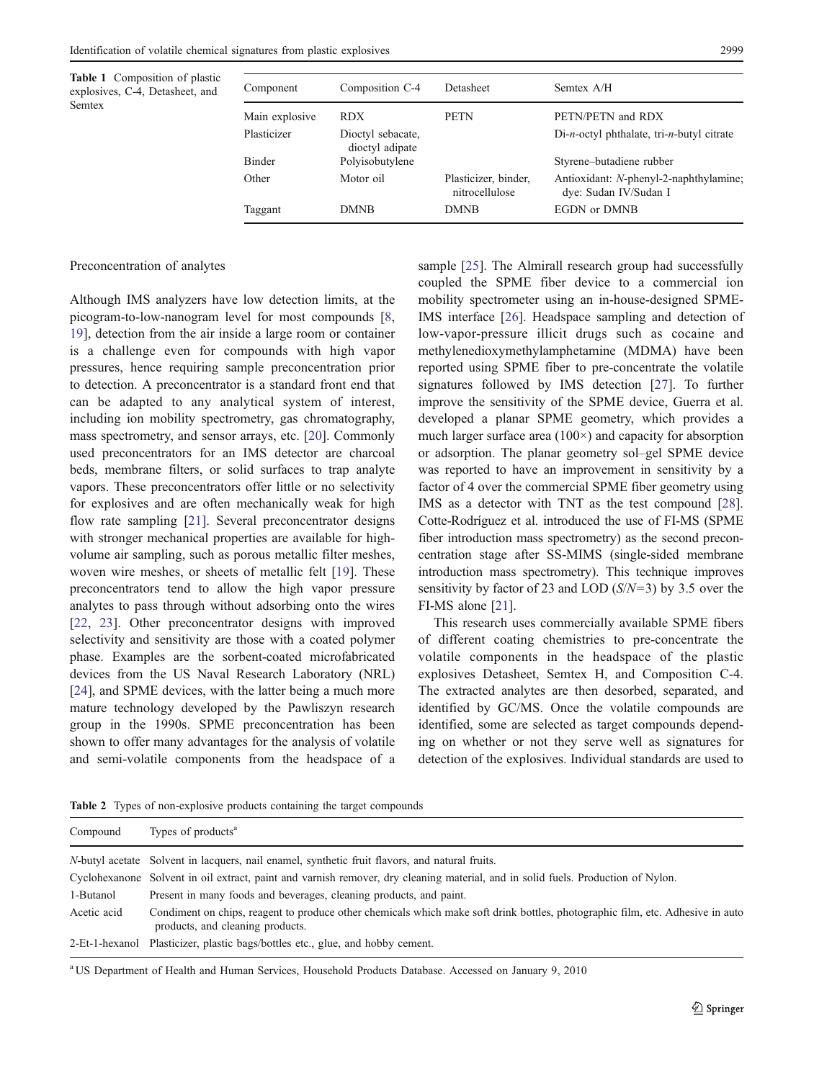<span id="page-2-0"></span>Table 1 Composition of plastic explosives, C-4, Detasheet, and Semtex

| Composition C-4<br><b>Detasheet</b><br>Semtex A/H<br>Component<br>PETN/PETN and RDX<br>Main explosive<br>RDX.<br><b>PETN</b><br>Plasticizer<br>$Di-n-octyl$ phthalate, tri- <i>n</i> -butyl citrate<br>Dioctyl sebacate,<br>dioctyl adipate<br>Polyisobutylene<br><b>Binder</b><br>Styrene-butadiene rubber<br>Plasticizer, binder,<br>Other<br>Motor oil<br>nitrocellulose<br>dye: Sudan IV/Sudan I<br>EGDN or DMNB<br><b>DMNB</b><br><b>DMNB</b><br>Taggant |  |                                        |
|---------------------------------------------------------------------------------------------------------------------------------------------------------------------------------------------------------------------------------------------------------------------------------------------------------------------------------------------------------------------------------------------------------------------------------------------------------------|--|----------------------------------------|
|                                                                                                                                                                                                                                                                                                                                                                                                                                                               |  |                                        |
|                                                                                                                                                                                                                                                                                                                                                                                                                                                               |  |                                        |
|                                                                                                                                                                                                                                                                                                                                                                                                                                                               |  |                                        |
|                                                                                                                                                                                                                                                                                                                                                                                                                                                               |  |                                        |
|                                                                                                                                                                                                                                                                                                                                                                                                                                                               |  | Antioxidant: N-phenyl-2-naphthylamine; |
|                                                                                                                                                                                                                                                                                                                                                                                                                                                               |  |                                        |

### Preconcentration of analytes

Although IMS analyzers have low detection limits, at the picogram-to-low-nanogram level for most compounds [[8,](#page-10-0) [19](#page-10-0)], detection from the air inside a large room or container is a challenge even for compounds with high vapor pressures, hence requiring sample preconcentration prior to detection. A preconcentrator is a standard front end that can be adapted to any analytical system of interest, including ion mobility spectrometry, gas chromatography, mass spectrometry, and sensor arrays, etc. [[20\]](#page-10-0). Commonly used preconcentrators for an IMS detector are charcoal beds, membrane filters, or solid surfaces to trap analyte vapors. These preconcentrators offer little or no selectivity for explosives and are often mechanically weak for high flow rate sampling [[21\]](#page-10-0). Several preconcentrator designs with stronger mechanical properties are available for highvolume air sampling, such as porous metallic filter meshes, woven wire meshes, or sheets of metallic felt [[19\]](#page-10-0). These preconcentrators tend to allow the high vapor pressure analytes to pass through without adsorbing onto the wires [\[22](#page-10-0), [23\]](#page-10-0). Other preconcentrator designs with improved selectivity and sensitivity are those with a coated polymer phase. Examples are the sorbent-coated microfabricated devices from the US Naval Research Laboratory (NRL) [\[24](#page-10-0)], and SPME devices, with the latter being a much more mature technology developed by the Pawliszyn research group in the 1990s. SPME preconcentration has been shown to offer many advantages for the analysis of volatile and semi-volatile components from the headspace of a

sample [[25\]](#page-10-0). The Almirall research group had successfully coupled the SPME fiber device to a commercial ion mobility spectrometer using an in-house-designed SPME-IMS interface [[26\]](#page-10-0). Headspace sampling and detection of low-vapor-pressure illicit drugs such as cocaine and methylenedioxymethylamphetamine (MDMA) have been reported using SPME fiber to pre-concentrate the volatile signatures followed by IMS detection [\[27](#page-10-0)]. To further improve the sensitivity of the SPME device, Guerra et al. developed a planar SPME geometry, which provides a much larger surface area (100×) and capacity for absorption or adsorption. The planar geometry sol–gel SPME device was reported to have an improvement in sensitivity by a factor of 4 over the commercial SPME fiber geometry using IMS as a detector with TNT as the test compound [[28\]](#page-10-0). Cotte-Rodríguez et al. introduced the use of FI-MS (SPME fiber introduction mass spectrometry) as the second preconcentration stage after SS-MIMS (single-sided membrane introduction mass spectrometry). This technique improves sensitivity by factor of 23 and LOD  $(S/N=3)$  by 3.5 over the FI-MS alone [[21](#page-10-0)].

This research uses commercially available SPME fibers of different coating chemistries to pre-concentrate the volatile components in the headspace of the plastic explosives Detasheet, Semtex H, and Composition C-4. The extracted analytes are then desorbed, separated, and identified by GC/MS. Once the volatile compounds are identified, some are selected as target compounds depending on whether or not they serve well as signatures for detection of the explosives. Individual standards are used to

Table 2 Types of non-explosive products containing the target compounds

| Compound    | Types of products <sup>a</sup>                                                                                                                                     |
|-------------|--------------------------------------------------------------------------------------------------------------------------------------------------------------------|
|             | <i>N</i> -butyl acetate Solvent in lacquers, nail enamel, synthetic fruit flavors, and natural fruits.                                                             |
|             | Cyclohexanone Solvent in oil extract, paint and varnish remover, dry cleaning material, and in solid fuels. Production of Nylon.                                   |
| 1-Butanol   | Present in many foods and beverages, cleaning products, and paint.                                                                                                 |
| Acetic acid | Condiment on chips, reagent to produce other chemicals which make soft drink bottles, photographic film, etc. Adhesive in auto<br>products, and cleaning products. |
|             | 2-Et-1-hexanol Plasticizer, plastic bags/bottles etc., glue, and hobby cement.                                                                                     |

<sup>a</sup> US Department of Health and Human Services, Household Products Database. Accessed on January 9, 2010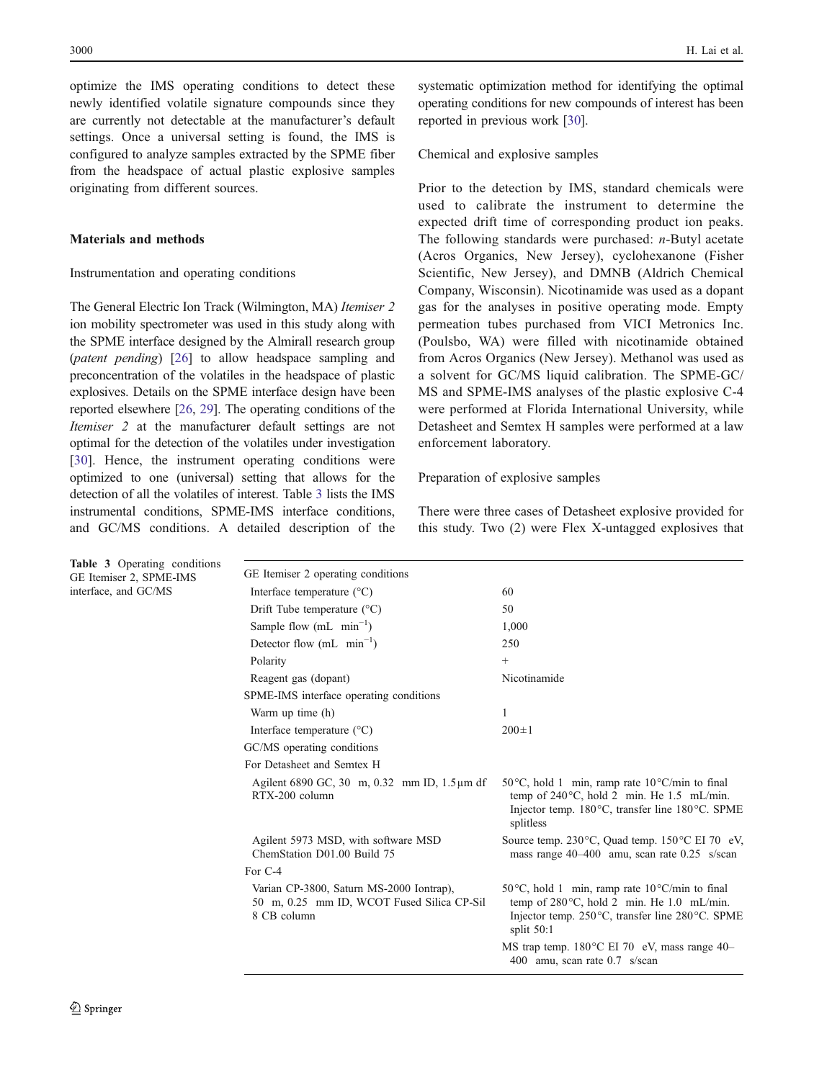optimize the IMS operating conditions to detect these newly identified volatile signature compounds since they are currently not detectable at the manufacturer's default settings. Once a universal setting is found, the IMS is configured to analyze samples extracted by the SPME fiber from the headspace of actual plastic explosive samples originating from different sources.

# Materials and methods

#### Instrumentation and operating conditions

The General Electric Ion Track (Wilmington, MA) Itemiser 2 ion mobility spectrometer was used in this study along with the SPME interface designed by the Almirall research group (patent pending) [[26\]](#page-10-0) to allow headspace sampling and preconcentration of the volatiles in the headspace of plastic explosives. Details on the SPME interface design have been reported elsewhere [\[26,](#page-10-0) [29](#page-10-0)]. The operating conditions of the Itemiser 2 at the manufacturer default settings are not optimal for the detection of the volatiles under investigation [\[30](#page-10-0)]. Hence, the instrument operating conditions were optimized to one (universal) setting that allows for the detection of all the volatiles of interest. Table 3 lists the IMS instrumental conditions, SPME-IMS interface conditions, and GC/MS conditions. A detailed description of the systematic optimization method for identifying the optimal operating conditions for new compounds of interest has been reported in previous work [\[30](#page-10-0)].

## Chemical and explosive samples

Prior to the detection by IMS, standard chemicals were used to calibrate the instrument to determine the expected drift time of corresponding product ion peaks. The following standards were purchased: n-Butyl acetate (Acros Organics, New Jersey), cyclohexanone (Fisher Scientific, New Jersey), and DMNB (Aldrich Chemical Company, Wisconsin). Nicotinamide was used as a dopant gas for the analyses in positive operating mode. Empty permeation tubes purchased from VICI Metronics Inc. (Poulsbo, WA) were filled with nicotinamide obtained from Acros Organics (New Jersey). Methanol was used as a solvent for GC/MS liquid calibration. The SPME-GC/ MS and SPME-IMS analyses of the plastic explosive C-4 were performed at Florida International University, while Detasheet and Semtex H samples were performed at a law enforcement laboratory.

#### Preparation of explosive samples

There were three cases of Detasheet explosive provided for this study. Two (2) were Flex X-untagged explosives that

| <b>Table 3</b> Operating conditions<br>GE Itemiser 2, SPME-IMS | GE Itemiser 2 operating conditions                                                                    |                                                                                                                                                                                             |  |  |  |  |
|----------------------------------------------------------------|-------------------------------------------------------------------------------------------------------|---------------------------------------------------------------------------------------------------------------------------------------------------------------------------------------------|--|--|--|--|
| interface, and GC/MS                                           | Interface temperature $(^{\circ}C)$                                                                   | 60                                                                                                                                                                                          |  |  |  |  |
|                                                                | Drift Tube temperature $(^{\circ}C)$                                                                  | 50                                                                                                                                                                                          |  |  |  |  |
|                                                                | Sample flow $(mL \text{ min}^{-1})$                                                                   | 1,000                                                                                                                                                                                       |  |  |  |  |
|                                                                | Detector flow (mL $min^{-1}$ )                                                                        | 250                                                                                                                                                                                         |  |  |  |  |
|                                                                | Polarity                                                                                              | $+$                                                                                                                                                                                         |  |  |  |  |
|                                                                | Reagent gas (dopant)                                                                                  | Nicotinamide                                                                                                                                                                                |  |  |  |  |
|                                                                | SPME-IMS interface operating conditions                                                               |                                                                                                                                                                                             |  |  |  |  |
|                                                                | Warm up time (h)                                                                                      | 1                                                                                                                                                                                           |  |  |  |  |
|                                                                | Interface temperature $(^{\circ}C)$                                                                   | $200 \pm 1$                                                                                                                                                                                 |  |  |  |  |
|                                                                | GC/MS operating conditions                                                                            |                                                                                                                                                                                             |  |  |  |  |
|                                                                | For Detasheet and Semtex H                                                                            |                                                                                                                                                                                             |  |  |  |  |
|                                                                | Agilent 6890 GC, 30 m, 0.32 mm ID, 1.5 µm df<br>RTX-200 column                                        | 50 °C, hold 1 min, ramp rate $10^{\circ}$ C/min to final<br>temp of 240°C, hold 2 min. He 1.5 mL/min.<br>Injector temp. $180^{\circ}$ C, transfer line $180^{\circ}$ C. SPME<br>splitless   |  |  |  |  |
|                                                                | Agilent 5973 MSD, with software MSD<br>ChemStation D01.00 Build 75                                    | Source temp. 230 $\degree$ C, Quad temp. 150 $\degree$ C EI 70 eV,<br>mass range 40–400 amu, scan rate 0.25 s/scan                                                                          |  |  |  |  |
|                                                                | For C-4                                                                                               |                                                                                                                                                                                             |  |  |  |  |
|                                                                | Varian CP-3800, Saturn MS-2000 Iontrap),<br>50 m, 0.25 mm ID, WCOT Fused Silica CP-Sil<br>8 CB column | 50°C, hold 1 min, ramp rate 10°C/min to final<br>temp of $280^{\circ}$ C, hold 2 min. He 1.0 mL/min.<br>Injector temp. $250^{\circ}$ C, transfer line $280^{\circ}$ C. SPME<br>split $50:1$ |  |  |  |  |
|                                                                |                                                                                                       | MS trap temp. $180^{\circ}$ C EI 70 eV, mass range 40-<br>400 amu, scan rate 0.7 s/scan                                                                                                     |  |  |  |  |
|                                                                |                                                                                                       |                                                                                                                                                                                             |  |  |  |  |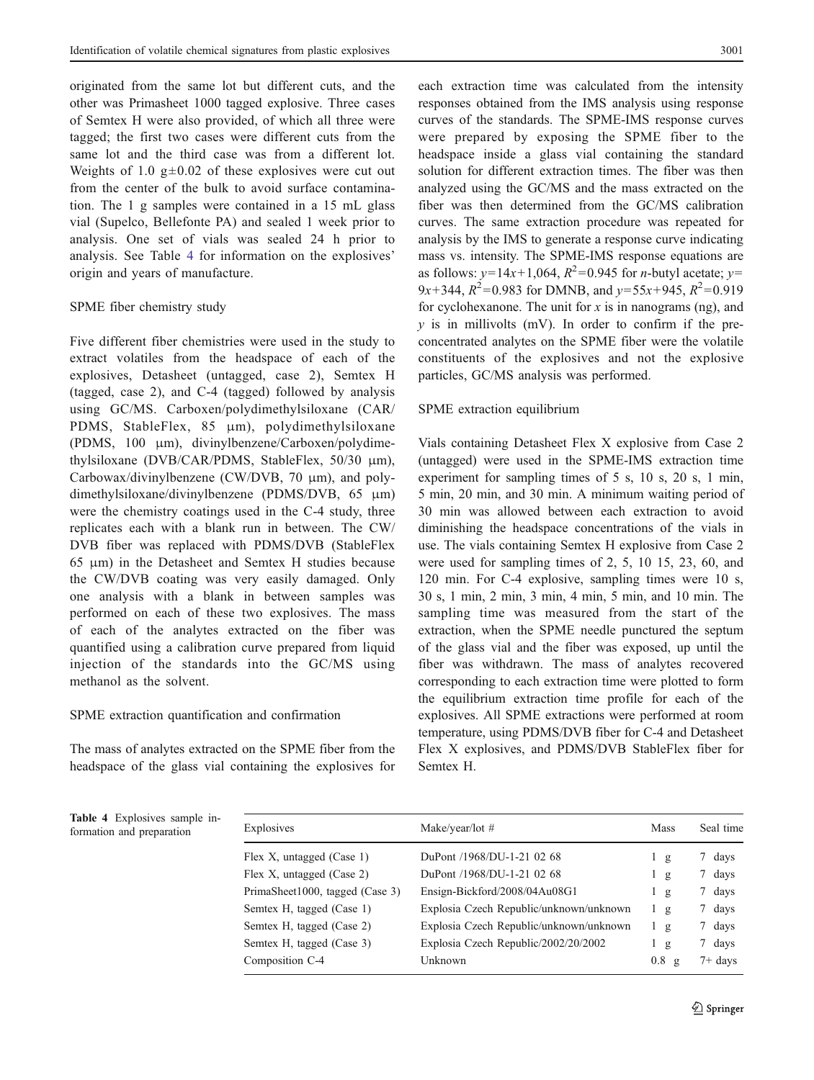originated from the same lot but different cuts, and the other was Primasheet 1000 tagged explosive. Three cases of Semtex H were also provided, of which all three were tagged; the first two cases were different cuts from the same lot and the third case was from a different lot. Weights of 1.0  $g \pm 0.02$  of these explosives were cut out from the center of the bulk to avoid surface contamination. The 1 g samples were contained in a 15 mL glass vial (Supelco, Bellefonte PA) and sealed 1 week prior to analysis. One set of vials was sealed 24 h prior to analysis. See Table 4 for information on the explosives' origin and years of manufacture.

#### SPME fiber chemistry study

Five different fiber chemistries were used in the study to extract volatiles from the headspace of each of the explosives, Detasheet (untagged, case 2), Semtex H (tagged, case 2), and C-4 (tagged) followed by analysis using GC/MS. Carboxen/polydimethylsiloxane (CAR/ PDMS, StableFlex, 85 μm), polydimethylsiloxane (PDMS, 100 μm), divinylbenzene/Carboxen/polydimethylsiloxane (DVB/CAR/PDMS, StableFlex, 50/30 μm), Carbowax/divinylbenzene (CW/DVB, 70 μm), and polydimethylsiloxane/divinylbenzene (PDMS/DVB, 65 μm) were the chemistry coatings used in the C-4 study, three replicates each with a blank run in between. The CW/ DVB fiber was replaced with PDMS/DVB (StableFlex 65 μm) in the Detasheet and Semtex H studies because the CW/DVB coating was very easily damaged. Only one analysis with a blank in between samples was performed on each of these two explosives. The mass of each of the analytes extracted on the fiber was quantified using a calibration curve prepared from liquid injection of the standards into the GC/MS using methanol as the solvent.

## SPME extraction quantification and confirmation

The mass of analytes extracted on the SPME fiber from the headspace of the glass vial containing the explosives for

each extraction time was calculated from the intensity responses obtained from the IMS analysis using response curves of the standards. The SPME-IMS response curves were prepared by exposing the SPME fiber to the headspace inside a glass vial containing the standard solution for different extraction times. The fiber was then analyzed using the GC/MS and the mass extracted on the fiber was then determined from the GC/MS calibration curves. The same extraction procedure was repeated for analysis by the IMS to generate a response curve indicating mass vs. intensity. The SPME-IMS response equations are as follows:  $y=14x+1,064, R^2=0.945$  for *n*-butyl acetate;  $y=$  $9x+344$ ,  $R^2=0.983$  for DMNB, and  $y=55x+945$ ,  $R^2=0.919$ for cyclohexanone. The unit for  $x$  is in nanograms (ng), and  $\nu$  is in millivolts (mV). In order to confirm if the preconcentrated analytes on the SPME fiber were the volatile constituents of the explosives and not the explosive particles, GC/MS analysis was performed.

#### SPME extraction equilibrium

Vials containing Detasheet Flex X explosive from Case 2 (untagged) were used in the SPME-IMS extraction time experiment for sampling times of 5 s, 10 s, 20 s, 1 min, 5 min, 20 min, and 30 min. A minimum waiting period of 30 min was allowed between each extraction to avoid diminishing the headspace concentrations of the vials in use. The vials containing Semtex H explosive from Case 2 were used for sampling times of 2, 5, 10 15, 23, 60, and 120 min. For C-4 explosive, sampling times were 10 s, 30 s, 1 min, 2 min, 3 min, 4 min, 5 min, and 10 min. The sampling time was measured from the start of the extraction, when the SPME needle punctured the septum of the glass vial and the fiber was exposed, up until the fiber was withdrawn. The mass of analytes recovered corresponding to each extraction time were plotted to form the equilibrium extraction time profile for each of the explosives. All SPME extractions were performed at room temperature, using PDMS/DVB fiber for C-4 and Detasheet Flex X explosives, and PDMS/DVB StableFlex fiber for Semtex H.

| Table 4 Explosives sample in- |  |
|-------------------------------|--|
| formation and preparation     |  |

| Explosives                      | Make/year/lot $#$                       | <b>Mass</b>                  | Seal time |
|---------------------------------|-----------------------------------------|------------------------------|-----------|
| Flex X, untagged (Case 1)       | DuPont /1968/DU-1-21 02 68              | $\mathbf{g}$<br>$\mathbf{I}$ | 7 days    |
| Flex X, untagged (Case 2)       | DuPont /1968/DU-1-21 02 68              | g                            | 7 days    |
| PrimaSheet1000, tagged (Case 3) | Ensign-Bickford/2008/04Au08G1           | 1<br>$\mathbf{g}$            | 7 days    |
| Semtex H, tagged (Case 1)       | Explosia Czech Republic/unknown/unknown | 1<br>g                       | 7 days    |
| Semtex H, tagged (Case 2)       | Explosia Czech Republic/unknown/unknown | $\mathbf{g}$<br>1            | 7 days    |
| Semtex H, tagged (Case 3)       | Explosia Czech Republic/2002/20/2002    | g                            | 7 days    |
| Composition C-4                 | Unknown                                 | $0.8$ g                      | $7+$ days |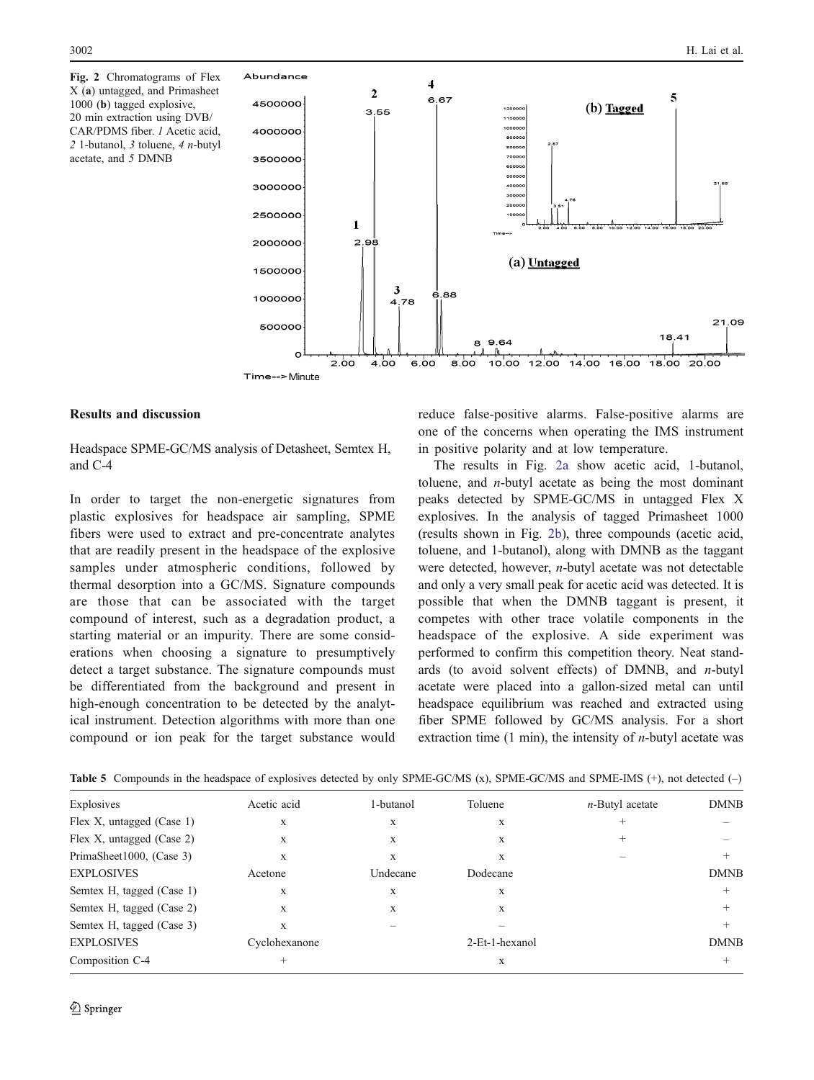<span id="page-5-0"></span>Fig. 2 Chromatograms of Flex X (a) untagged, and Primasheet 1000 (b) tagged explosive, 20 min extraction using DVB/ CAR/PDMS fiber. 1 Acetic acid, 2 1-butanol, 3 toluene, 4 n-butyl acetate, and 5 DMNB



# Results and discussion

Headspace SPME-GC/MS analysis of Detasheet, Semtex H, and C-4

In order to target the non-energetic signatures from plastic explosives for headspace air sampling, SPME fibers were used to extract and pre-concentrate analytes that are readily present in the headspace of the explosive samples under atmospheric conditions, followed by thermal desorption into a GC/MS. Signature compounds are those that can be associated with the target compound of interest, such as a degradation product, a starting material or an impurity. There are some considerations when choosing a signature to presumptively detect a target substance. The signature compounds must be differentiated from the background and present in high-enough concentration to be detected by the analytical instrument. Detection algorithms with more than one compound or ion peak for the target substance would reduce false-positive alarms. False-positive alarms are one of the concerns when operating the IMS instrument in positive polarity and at low temperature.

The results in Fig. 2a show acetic acid, 1-butanol, toluene, and n-butyl acetate as being the most dominant peaks detected by SPME-GC/MS in untagged Flex X explosives. In the analysis of tagged Primasheet 1000 (results shown in Fig. 2b), three compounds (acetic acid, toluene, and 1-butanol), along with DMNB as the taggant were detected, however, n-butyl acetate was not detectable and only a very small peak for acetic acid was detected. It is possible that when the DMNB taggant is present, it competes with other trace volatile components in the headspace of the explosive. A side experiment was performed to confirm this competition theory. Neat standards (to avoid solvent effects) of DMNB, and  $n$ -butyl acetate were placed into a gallon-sized metal can until headspace equilibrium was reached and extracted using fiber SPME followed by GC/MS analysis. For a short extraction time  $(1 \text{ min})$ , the intensity of *n*-butyl acetate was

|  |  |  |  |  | Table 5 Compounds in the headspace of explosives detected by only SPME-GC/MS (x), SPME-GC/MS and SPME-IMS (+), not detected (-) |  |  |  |
|--|--|--|--|--|---------------------------------------------------------------------------------------------------------------------------------|--|--|--|
|--|--|--|--|--|---------------------------------------------------------------------------------------------------------------------------------|--|--|--|

| Explosives                | Acetic acid   | 1-butanol | Toluene        | $n$ -Butyl acetate | <b>DMNB</b> |
|---------------------------|---------------|-----------|----------------|--------------------|-------------|
| Flex X, untagged (Case 1) | X             | X         | X              |                    |             |
| Flex X, untagged (Case 2) | X             | X         | X              |                    |             |
| PrimaSheet1000, (Case 3)  | X             | X         | X              |                    |             |
| <b>EXPLOSIVES</b>         | Acetone       | Undecane  | Dodecane       |                    | <b>DMNB</b> |
| Semtex H, tagged (Case 1) | X             | X         | X              |                    |             |
| Semtex H, tagged (Case 2) | X             | X         | X              |                    |             |
| Semtex H, tagged (Case 3) | X             |           |                |                    |             |
| <b>EXPLOSIVES</b>         | Cyclohexanone |           | 2-Et-1-hexanol |                    | <b>DMNB</b> |
| Composition C-4           |               |           | X              |                    |             |
|                           |               |           |                |                    |             |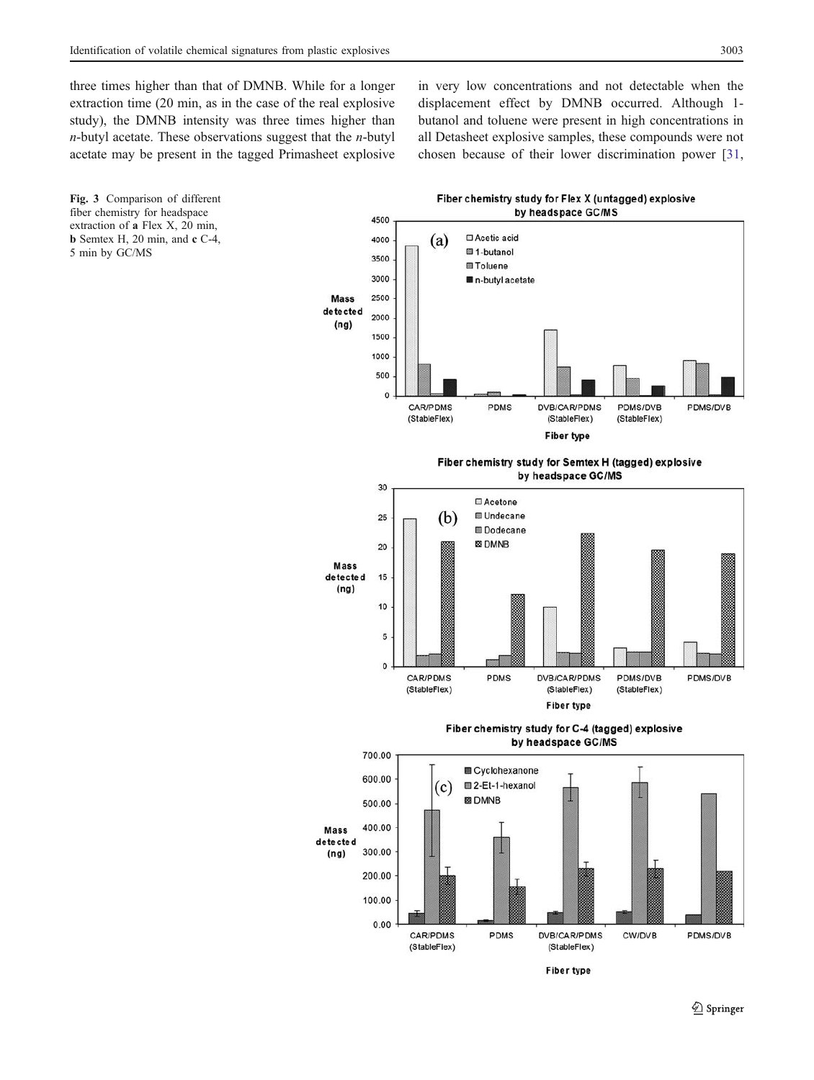<span id="page-6-0"></span>three times higher than that of DMNB. While for a longer extraction time (20 min, as in the case of the real explosive study), the DMNB intensity was three times higher than  $n$ -butyl acetate. These observations suggest that the *n*-butyl acetate may be present in the tagged Primasheet explosive

Fig. 3 Comparison of different fiber chemistry for headspace extraction of a Flex X, 20 min, b Semtex H, 20 min, and c C-4, 5 min by GC/MS

in very low concentrations and not detectable when the displacement effect by DMNB occurred. Although 1 butanol and toluene were present in high concentrations in all Detasheet explosive samples, these compounds were not chosen because of their lower discrimination power [[31,](#page-10-0)



Fiber chemistry study for C-4 (tagged) explosive by headspace GC/MS



**Fiber type**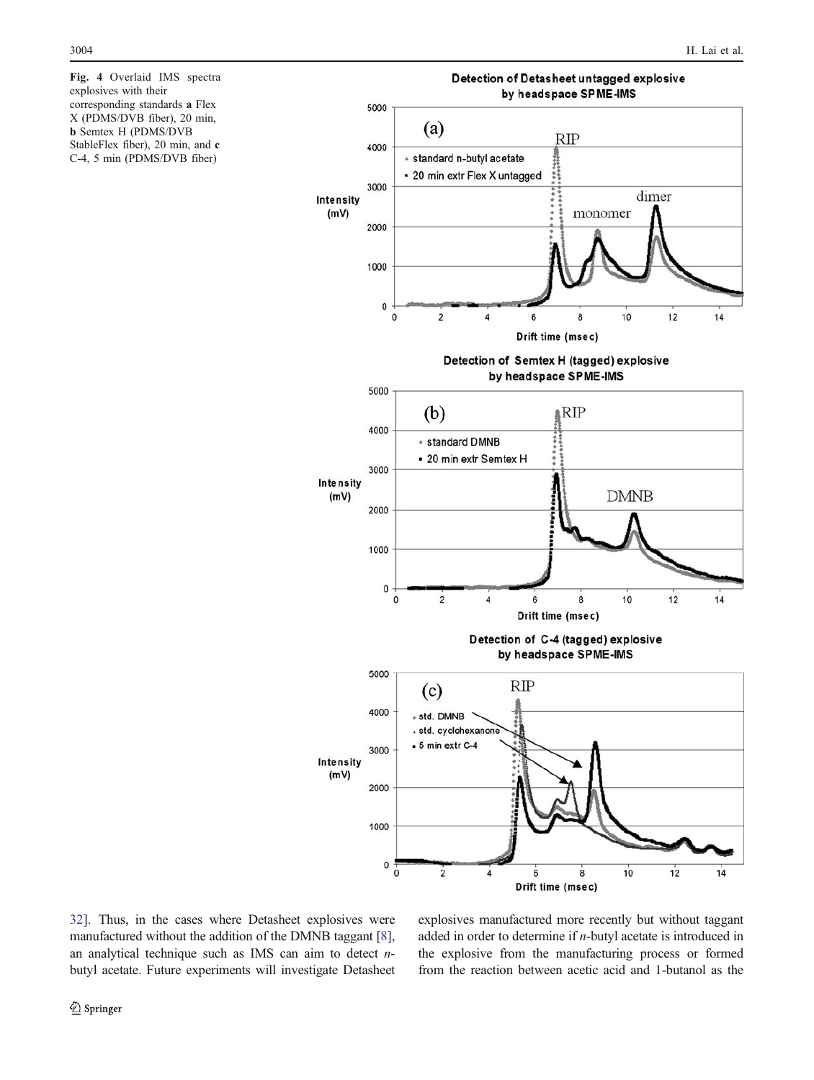<span id="page-7-0"></span>Fig. 4 Overlaid IMS spectra explosives with their corresponding standards a Flex X (PDMS/DVB fiber), 20 min, b Semtex H (PDMS/DVB StableFlex fiber), 20 min, and c C-4, 5 min (PDMS/DVB fiber)



[32](#page-10-0)]. Thus, in the cases where Detasheet explosives were manufactured without the addition of the DMNB taggant [[8\]](#page-10-0), an analytical technique such as IMS can aim to detect nbutyl acetate. Future experiments will investigate Detasheet explosives manufactured more recently but without taggant added in order to determine if n-butyl acetate is introduced in the explosive from the manufacturing process or formed from the reaction between acetic acid and 1-butanol as the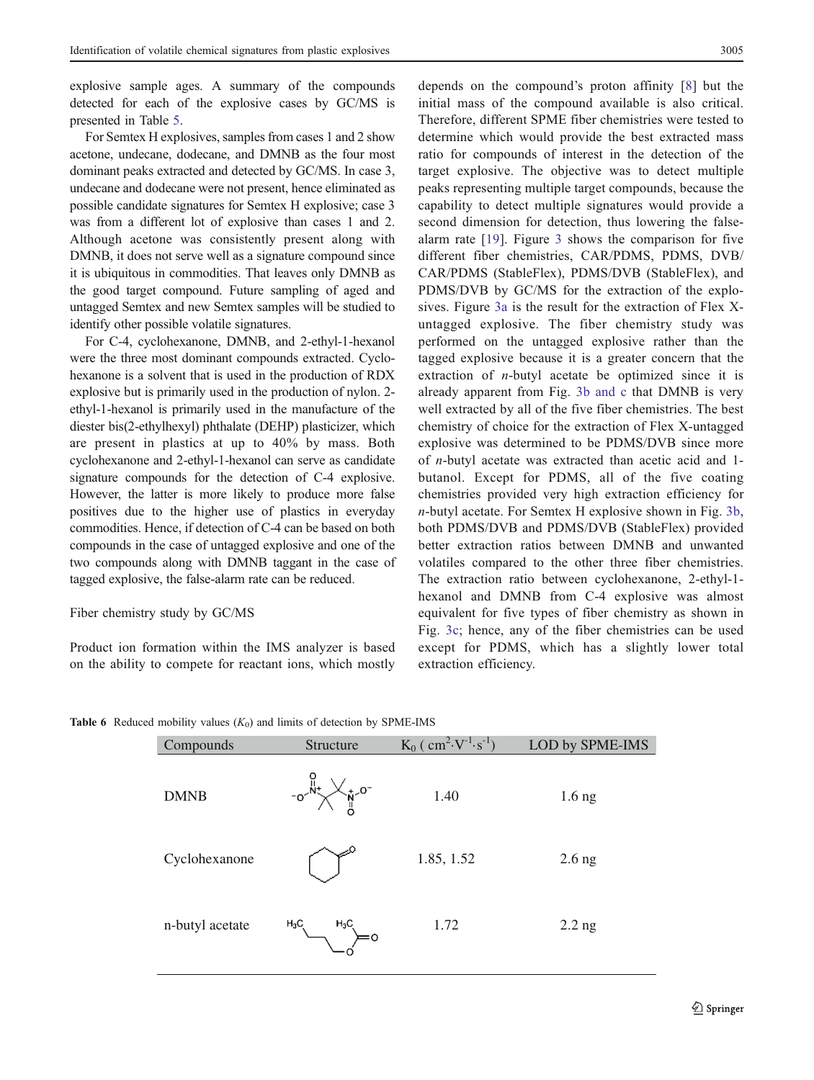<span id="page-8-0"></span>explosive sample ages. A summary of the compounds detected for each of the explosive cases by GC/MS is presented in Table [5.](#page-5-0)

For Semtex H explosives, samples from cases 1 and 2 show acetone, undecane, dodecane, and DMNB as the four most dominant peaks extracted and detected by GC/MS. In case 3, undecane and dodecane were not present, hence eliminated as possible candidate signatures for Semtex H explosive; case 3 was from a different lot of explosive than cases 1 and 2. Although acetone was consistently present along with DMNB, it does not serve well as a signature compound since it is ubiquitous in commodities. That leaves only DMNB as the good target compound. Future sampling of aged and untagged Semtex and new Semtex samples will be studied to identify other possible volatile signatures.

For C-4, cyclohexanone, DMNB, and 2-ethyl-1-hexanol were the three most dominant compounds extracted. Cyclohexanone is a solvent that is used in the production of RDX explosive but is primarily used in the production of nylon. 2 ethyl-1-hexanol is primarily used in the manufacture of the diester bis(2-ethylhexyl) phthalate (DEHP) plasticizer, which are present in plastics at up to 40% by mass. Both cyclohexanone and 2-ethyl-1-hexanol can serve as candidate signature compounds for the detection of C-4 explosive. However, the latter is more likely to produce more false positives due to the higher use of plastics in everyday commodities. Hence, if detection of C-4 can be based on both compounds in the case of untagged explosive and one of the two compounds along with DMNB taggant in the case of tagged explosive, the false-alarm rate can be reduced.

# Fiber chemistry study by GC/MS

Product ion formation within the IMS analyzer is based on the ability to compete for reactant ions, which mostly depends on the compound's proton affinity [[8\]](#page-10-0) but the initial mass of the compound available is also critical. Therefore, different SPME fiber chemistries were tested to determine which would provide the best extracted mass ratio for compounds of interest in the detection of the target explosive. The objective was to detect multiple peaks representing multiple target compounds, because the capability to detect multiple signatures would provide a second dimension for detection, thus lowering the falsealarm rate [[19\]](#page-10-0). Figure [3](#page-6-0) shows the comparison for five different fiber chemistries, CAR/PDMS, PDMS, DVB/ CAR/PDMS (StableFlex), PDMS/DVB (StableFlex), and PDMS/DVB by GC/MS for the extraction of the explosives. Figure [3a](#page-6-0) is the result for the extraction of Flex Xuntagged explosive. The fiber chemistry study was performed on the untagged explosive rather than the tagged explosive because it is a greater concern that the extraction of  $n$ -butyl acetate be optimized since it is already apparent from Fig. [3b and c](#page-6-0) that DMNB is very well extracted by all of the five fiber chemistries. The best chemistry of choice for the extraction of Flex X-untagged explosive was determined to be PDMS/DVB since more of n-butyl acetate was extracted than acetic acid and 1 butanol. Except for PDMS, all of the five coating chemistries provided very high extraction efficiency for n-butyl acetate. For Semtex H explosive shown in Fig. [3b,](#page-6-0) both PDMS/DVB and PDMS/DVB (StableFlex) provided better extraction ratios between DMNB and unwanted volatiles compared to the other three fiber chemistries. The extraction ratio between cyclohexanone, 2-ethyl-1 hexanol and DMNB from C-4 explosive was almost equivalent for five types of fiber chemistry as shown in Fig. [3c;](#page-6-0) hence, any of the fiber chemistries can be used except for PDMS, which has a slightly lower total extraction efficiency.

**Table 6** Reduced mobility values  $(K_0)$  and limits of detection by SPME-IMS

| Compounds       | Structure                                                                                | $K_0$ (cm <sup>2</sup> ·V <sup>-1</sup> ·s <sup>-1</sup> ) | LOD by SPME-IMS   |
|-----------------|------------------------------------------------------------------------------------------|------------------------------------------------------------|-------------------|
| <b>DMNB</b>     | $\begin{bmatrix} -\frac{1}{N} & -\frac{1}{N} \\ \frac{1}{N} & \frac{1}{N} \end{bmatrix}$ | 1.40                                                       | 1.6 <sub>ng</sub> |
| Cyclohexanone   |                                                                                          | 1.85, 1.52                                                 | $2.6$ ng          |
| n-butyl acetate | $H_3C$<br>$H_3C$                                                                         | 1.72                                                       | $2.2$ ng          |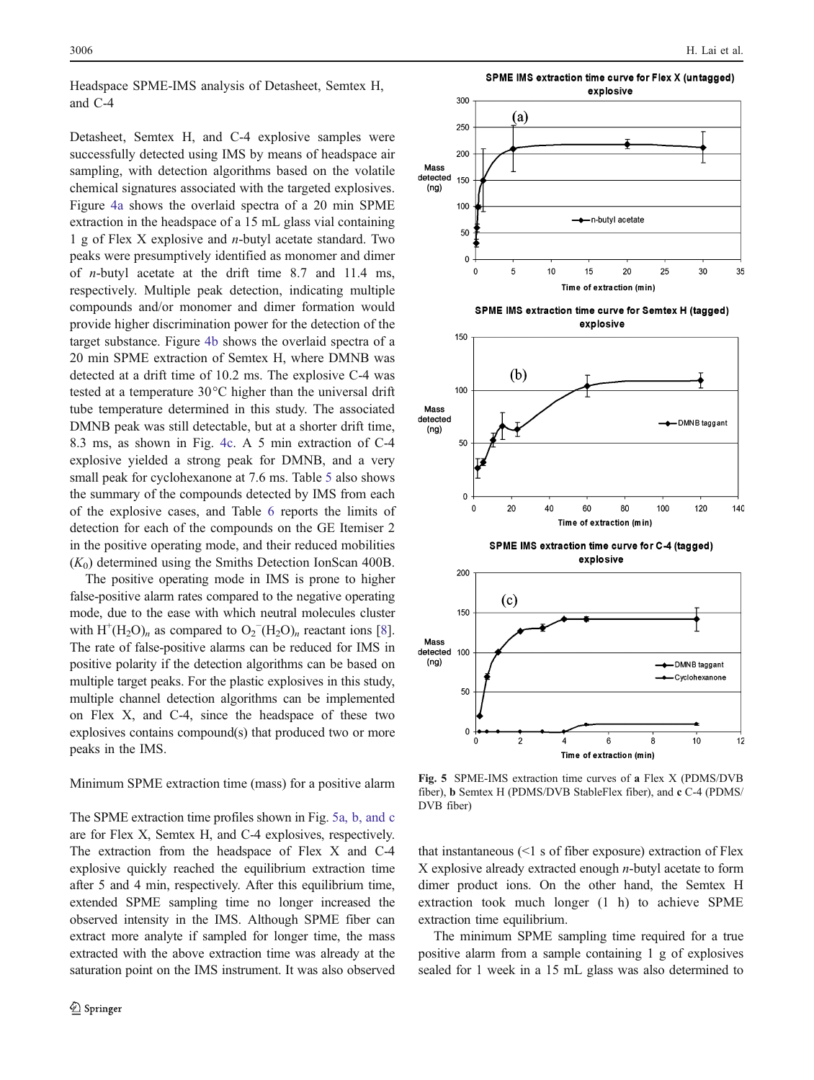# Headspace SPME-IMS analysis of Detasheet, Semtex H, and C-4

Detasheet, Semtex H, and C-4 explosive samples were successfully detected using IMS by means of headspace air sampling, with detection algorithms based on the volatile chemical signatures associated with the targeted explosives. Figure [4a](#page-7-0) shows the overlaid spectra of a 20 min SPME extraction in the headspace of a 15 mL glass vial containing 1 g of Flex X explosive and  $n$ -butyl acetate standard. Two peaks were presumptively identified as monomer and dimer of n-butyl acetate at the drift time 8.7 and 11.4 ms, respectively. Multiple peak detection, indicating multiple compounds and/or monomer and dimer formation would provide higher discrimination power for the detection of the target substance. Figure [4b](#page-7-0) shows the overlaid spectra of a 20 min SPME extraction of Semtex H, where DMNB was detected at a drift time of 10.2 ms. The explosive C-4 was tested at a temperature 30°C higher than the universal drift tube temperature determined in this study. The associated DMNB peak was still detectable, but at a shorter drift time, 8.3 ms, as shown in Fig. [4c.](#page-7-0) A 5 min extraction of C-4 explosive yielded a strong peak for DMNB, and a very small peak for cyclohexanone at 7.6 ms. Table [5](#page-5-0) also shows the summary of the compounds detected by IMS from each of the explosive cases, and Table [6](#page-8-0) reports the limits of detection for each of the compounds on the GE Itemiser 2 in the positive operating mode, and their reduced mobilities  $(K<sub>0</sub>)$  determined using the Smiths Detection IonScan 400B.

The positive operating mode in IMS is prone to higher false-positive alarm rates compared to the negative operating mode, due to the ease with which neutral molecules cluster with  $H^+(H_2O)_n$  as compared to  $O_2^-(H_2O)_n$  reactant ions [[8\]](#page-10-0). The rate of false-positive alarms can be reduced for IMS in positive polarity if the detection algorithms can be based on multiple target peaks. For the plastic explosives in this study, multiple channel detection algorithms can be implemented on Flex X, and C-4, since the headspace of these two explosives contains compound(s) that produced two or more peaks in the IMS.

#### Minimum SPME extraction time (mass) for a positive alarm

The SPME extraction time profiles shown in Fig. 5a, b, and c are for Flex X, Semtex H, and C-4 explosives, respectively. The extraction from the headspace of Flex X and C-4 explosive quickly reached the equilibrium extraction time after 5 and 4 min, respectively. After this equilibrium time, extended SPME sampling time no longer increased the observed intensity in the IMS. Although SPME fiber can extract more analyte if sampled for longer time, the mass extracted with the above extraction time was already at the saturation point on the IMS instrument. It was also observed







Fig. 5 SPME-IMS extraction time curves of a Flex X (PDMS/DVB fiber), b Semtex H (PDMS/DVB StableFlex fiber), and c C-4 (PDMS/ DVB fiber)

that instantaneous (<1 s of fiber exposure) extraction of Flex X explosive already extracted enough n-butyl acetate to form dimer product ions. On the other hand, the Semtex H extraction took much longer (1 h) to achieve SPME extraction time equilibrium.

The minimum SPME sampling time required for a true positive alarm from a sample containing 1 g of explosives sealed for 1 week in a 15 mL glass was also determined to